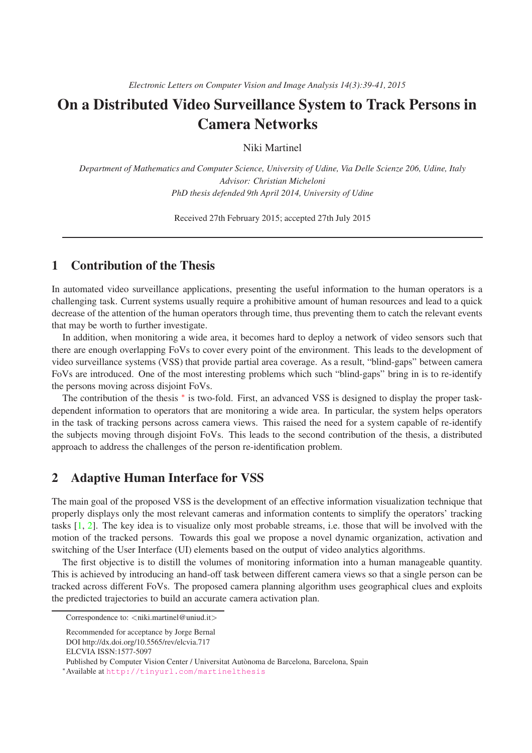# On a Distributed Video Surveillance System to Track Persons in Camera Networks

Niki Martinel

*Department of Mathematics and Computer Science, University of Udine, Via Delle Scienze 206, Udine, Italy Advisor: Christian Micheloni PhD thesis defended 9th April 2014, University of Udine*

Received 27th February 2015; accepted 27th July 2015

## 1 Contribution of the Thesis

In automated video surveillance applications, presenting the useful information to the human operators is a challenging task. Current systems usually require a prohibitive amount of human resources and lead to a quick decrease of the attention of the human operators through time, thus preventing them to catch the relevant events that may be worth to further investigate.

In addition, when monitoring a wide area, it becomes hard to deploy a network of video sensors such that there are enough overlapping FoVs to cover every point of the environment. This leads to the development of video surveillance systems (VSS) that provide partial area coverage. As a result, "blind-gaps" between camera FoVs are introduced. One of the most interesting problems which such "blind-gaps" bring in is to re-identify the persons moving across disjoint FoVs.

The contribution of the thesis \* is two-fold. First, an advanced VSS is designed to display the proper taskdependent information to operators that are monitoring a wide area. In particular, the system helps operators in the task of tracking persons across camera views. This raised the need for a system capable of re-identify the subjects moving through disjoint FoVs. This leads to the second contribution of the thesis, a distributed approach to address the challenges of the person re-identification problem.

#### 2 Adaptive Human Interface for VSS

The main goal of the proposed VSS is the development of an effective information visualization technique that properly displays only the most relevant cameras and information contents to simplify the operators' tracking tasks [\[1,](#page-1-0) [2\]](#page-2-0). The key idea is to visualize only most probable streams, i.e. those that will be involved with the motion of the tracked persons. Towards this goal we propose a novel dynamic organization, activation and switching of the User Interface (UI) elements based on the output of video analytics algorithms.

The first objective is to distill the volumes of monitoring information into a human manageable quantity. This is achieved by introducing an hand-off task between different camera views so that a single person can be tracked across different FoVs. The proposed camera planning algorithm uses geographical clues and exploits the predicted trajectories to build an accurate camera activation plan.

Correspondence to: <niki.martinel@uniud.it>

Recommended for acceptance by Jorge Bernal

DOI http://dx.doi.org/10.5565/rev/elcvia.717

ELCVIA ISSN:1577-5097

Published by Computer Vision Center / Universitat Autònoma de Barcelona, Barcelona, Spain

<span id="page-0-0"></span><sup>∗</sup>Available at <http://tinyurl.com/martinelthesis>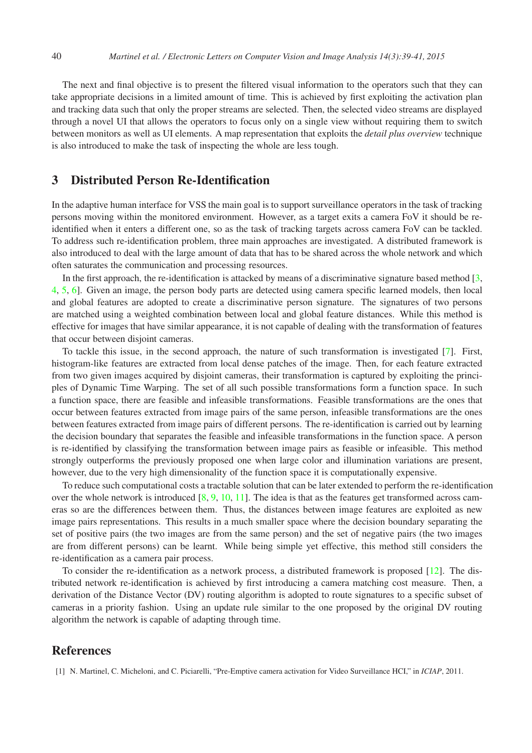The next and final objective is to present the filtered visual information to the operators such that they can take appropriate decisions in a limited amount of time. This is achieved by first exploiting the activation plan and tracking data such that only the proper streams are selected. Then, the selected video streams are displayed through a novel UI that allows the operators to focus only on a single view without requiring them to switch between monitors as well as UI elements. A map representation that exploits the *detail plus overview* technique is also introduced to make the task of inspecting the whole are less tough.

#### 3 Distributed Person Re-Identification

In the adaptive human interface for VSS the main goal is to support surveillance operators in the task of tracking persons moving within the monitored environment. However, as a target exits a camera FoV it should be reidentified when it enters a different one, so as the task of tracking targets across camera FoV can be tackled. To address such re-identification problem, three main approaches are investigated. A distributed framework is also introduced to deal with the large amount of data that has to be shared across the whole network and which often saturates the communication and processing resources.

In the first approach, the re-identification is attacked by means of a discriminative signature based method  $[3, 3]$ [4,](#page-2-2) [5,](#page-2-3) [6\]](#page-2-4). Given an image, the person body parts are detected using camera specific learned models, then local and global features are adopted to create a discriminative person signature. The signatures of two persons are matched using a weighted combination between local and global feature distances. While this method is effective for images that have similar appearance, it is not capable of dealing with the transformation of features that occur between disjoint cameras.

To tackle this issue, in the second approach, the nature of such transformation is investigated [\[7\]](#page-2-5). First, histogram-like features are extracted from local dense patches of the image. Then, for each feature extracted from two given images acquired by disjoint cameras, their transformation is captured by exploiting the principles of Dynamic Time Warping. The set of all such possible transformations form a function space. In such a function space, there are feasible and infeasible transformations. Feasible transformations are the ones that occur between features extracted from image pairs of the same person, infeasible transformations are the ones between features extracted from image pairs of different persons. The re-identification is carried out by learning the decision boundary that separates the feasible and infeasible transformations in the function space. A person is re-identified by classifying the transformation between image pairs as feasible or infeasible. This method strongly outperforms the previously proposed one when large color and illumination variations are present, however, due to the very high dimensionality of the function space it is computationally expensive.

To reduce such computational costs a tractable solution that can be later extended to perform the re-identification over the whole network is introduced  $[8, 9, 10, 11]$  $[8, 9, 10, 11]$  $[8, 9, 10, 11]$  $[8, 9, 10, 11]$  $[8, 9, 10, 11]$  $[8, 9, 10, 11]$ . The idea is that as the features get transformed across cameras so are the differences between them. Thus, the distances between image features are exploited as new image pairs representations. This results in a much smaller space where the decision boundary separating the set of positive pairs (the two images are from the same person) and the set of negative pairs (the two images are from different persons) can be learnt. While being simple yet effective, this method still considers the re-identification as a camera pair process.

To consider the re-identification as a network process, a distributed framework is proposed [\[12\]](#page-2-10). The distributed network re-identification is achieved by first introducing a camera matching cost measure. Then, a derivation of the Distance Vector (DV) routing algorithm is adopted to route signatures to a specific subset of cameras in a priority fashion. Using an update rule similar to the one proposed by the original DV routing algorithm the network is capable of adapting through time.

### <span id="page-1-0"></span>References

[1] N. Martinel, C. Micheloni, and C. Piciarelli, "Pre-Emptive camera activation for Video Surveillance HCI," in *ICIAP*, 2011.